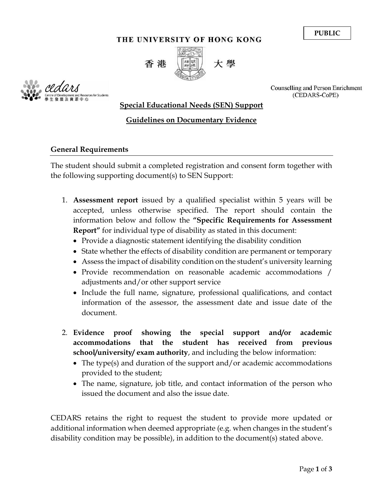**PUBLIC**

#### THE UNIVERSITY OF HONG KONG



cedar.

Counselling and Person Enrichment (CEDARS-CoPE)

### **Special Educational Needs (SEN) Support**

## **Guidelines on Documentary Evidence**

#### **General Requirements**

The student should submit a completed registration and consent form together with the following supporting document(s) to SEN Support:

- 1. **Assessment report** issued by a qualified specialist within 5 years will be accepted, unless otherwise specified. The report should contain the information below and follow the **"Specific Requirements for Assessment Report"** for individual type of disability as stated in this document:
	- Provide a diagnostic statement identifying the disability condition
	- State whether the effects of disability condition are permanent or temporary
	- Assess the impact of disability condition on the student's university learning
	- Provide recommendation on reasonable academic accommodations / adjustments and/or other support service
	- Include the full name, signature, professional qualifications, and contact information of the assessor, the assessment date and issue date of the document.
- 2. **Evidence proof showing the special support and/or academic accommodations that the student has received from previous school/university/ exam authority**, and including the below information:
	- The type(s) and duration of the support and/or academic accommodations provided to the student;
	- The name, signature, job title, and contact information of the person who issued the document and also the issue date.

CEDARS retains the right to request the student to provide more updated or additional information when deemed appropriate (e.g. when changes in the student's disability condition may be possible), in addition to the document(s) stated above.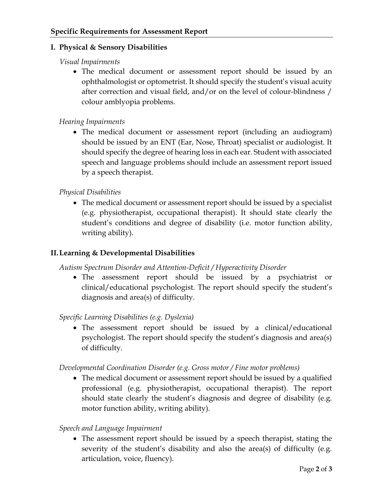### **I. Physical & Sensory Disabilities**

### *Visual Impairments*

 The medical document or assessment report should be issued by an ophthalmologist or optometrist. It should specify the student's visual acuity after correction and visual field, and/or on the level of colour-blindness / colour amblyopia problems.

# *Hearing Impairments*

 The medical document or assessment report (including an audiogram) should be issued by an ENT (Ear, Nose, Throat) specialist or audiologist. It should specify the degree of hearing loss in each ear. Student with associated speech and language problems should include an assessment report issued by a speech therapist.

### *Physical Disabilities*

 The medical document or assessment report should be issued by a specialist (e.g. physiotherapist, occupational therapist). It should state clearly the student's conditions and degree of disability (i.e. motor function ability, writing ability).

# **II.Learning & Developmental Disabilities**

*Autism Spectrum Disorder and Attention-Deficit / Hyperactivity Disorder* 

 The assessment report should be issued by a psychiatrist or clinical/educational psychologist. The report should specify the student's diagnosis and area(s) of difficulty.

#### *Specific Learning Disabilities (e.g. Dyslexia)*

 The assessment report should be issued by a clinical/educational psychologist. The report should specify the student's diagnosis and area(s) of difficulty.

#### *Developmental Coordination Disorder (e.g. Gross motor / Fine motor problems)*

 The medical document or assessment report should be issued by a qualified professional (e.g. physiotherapist, occupational therapist). The report should state clearly the student's diagnosis and degree of disability (e.g. motor function ability, writing ability).

#### *Speech and Language Impairment*

 The assessment report should be issued by a speech therapist, stating the severity of the student's disability and also the area(s) of difficulty (e.g. articulation, voice, fluency).